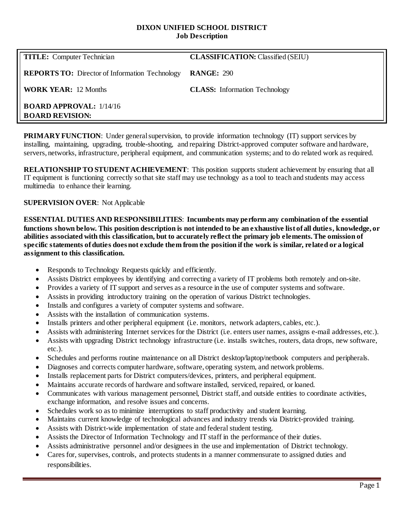#### **DIXON UNIFIED SCHOOL DISTRICT Job Description**

| <b>TITLE:</b> Computer Technician                          | <b>CLASSIFICATION:</b> Classified (SEIU) |
|------------------------------------------------------------|------------------------------------------|
| <b>REPORTS TO:</b> Director of Information Technology      | <b>RANGE: 290</b>                        |
| <b>WORK YEAR:</b> 12 Months                                | <b>CLASS:</b> Information Technology     |
| <b>BOARD APPROVAL:</b> $1/14/16$<br><b>BOARD REVISION:</b> |                                          |

**PRIMARY FUNCTION:** Under general supervision, to provide information technology (IT) support services by installing, maintaining, upgrading, trouble-shooting, and repairing District-approved computer software and hardware, servers, networks, infrastructure, peripheral equipment, and communication systems; and to do related work as required.

**RELATIONSHIP TO STUDENT ACHIEVEMENT**: This position supports student achievement by ensuring that all IT equipment is functioning correctly so that site staff may use technology as a tool to teach and students may access multimedia to enhance their learning.

## **SUPERVISION OVER**: Not Applicable

**ESSENTIAL DUTIES AND RESPONSIBILITIES**: **Incumbents may perform any combination of the essential functions shown below. This position description is not intended to be an exhaustive list of all duties, knowledge, or abilities associated with this classification, but to accurately reflect the primary job elements. The omission of specific statements of duties does not exclude them from the position if the work is similar, related or a logical assignment to this classification.**

- Responds to Technology Requests quickly and efficiently.
- Assists District employees by identifying and correcting a variety of IT problems both remotely and on-site.
- Provides a variety of IT support and serves as a resource in the use of computer systems and software.
- Assists in providing introductory training on the operation of various District technologies.
- Installs and configures a variety of computer systems and software.
- Assists with the installation of communication systems.
- Installs printers and other peripheral equipment (i.e. monitors, network adapters, cables, etc.).
- Assists with administering Internet services for the District (i.e. enters user names, assigns e-mail addresses, etc.).
- Assists with upgrading District technology infrastructure (i.e. installs switches, routers, data drops, new software, etc.).
- Schedules and performs routine maintenance on all District desktop/laptop/netbook computers and peripherals.
- Diagnoses and corrects computer hardware, software, operating system, and network problems.
- Installs replacement parts for District computers/devices, printers, and peripheral equipment.
- Maintains accurate records of hardware and software installed, serviced, repaired, or loaned.
- Communicates with various management personnel, District staff, and outside entities to coordinate activities, exchange information, and resolve issues and concerns.
- Schedules work so as to minimize interruptions to staff productivity and student learning.
- Maintains current knowledge of technological advances and industry trends via District-provided training.
- Assists with District-wide implementation of state and federal student testing.
- Assists the Director of Information Technology and IT staff in the performance of their duties.
- Assists administrative personnel and/or designees in the use and implementation of District technology.
- Cares for, supervises, controls, and protects students in a manner commensurate to assigned duties and responsibilities.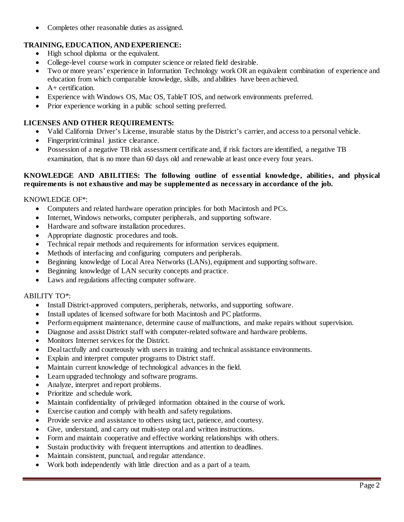• Completes other reasonable duties as assigned.

# **TRAINING, EDUCATION, AND EXPERIENCE:**

- High school diploma or the equivalent.
- College-level course work in computer science or related field desirable.
- Two or more years' experience in Information Technology work OR an equivalent combination of experience and education from which comparable knowledge, skills, and abilities have been achieved.
- $\bullet$  A + certification.
- Experience with Windows OS, Mac OS, TableT IOS, and network environments preferred.
- Prior experience working in a public school setting preferred.

# **LICENSES AND OTHER REQUIREMENTS:**

- Valid California Driver's License, insurable status by the District's carrier, and access to a personal vehicle.
- Fingerprint/criminal justice clearance.
- Possession of a negative TB risk assessment certificate and, if risk factors are identified, a negative TB examination, that is no more than 60 days old and renewable at least once every four years.

## **KNOWLEDGE AND ABILITIES: The following outline of essential knowledge, abilities, and physical requirements is not exhaustive and may be supplemented as necessary in accordance of the job.**

## KNOWLEDGE OF\*:

- Computers and related hardware operation principles for both Macintosh and PCs.
- Internet, Windows networks, computer peripherals, and supporting software.
- Hardware and software installation procedures.
- Appropriate diagnostic procedures and tools.
- Technical repair methods and requirements for information services equipment.
- Methods of interfacing and configuring computers and peripherals.
- Beginning knowledge of Local Area Networks (LANs), equipment and supporting software.
- Beginning knowledge of LAN security concepts and practice.
- Laws and regulations affecting computer software.

## ABILITY TO\*:

- Install District-approved computers, peripherals, networks, and supporting software.
- Install updates of licensed software for both Macintosh and PC platforms.
- Perform equipment maintenance, determine cause of malfunctions, and make repairs without supervision.
- Diagnose and assist District staff with computer-related software and hardware problems.
- Monitors Internet services for the District.
- Deal tactfully and courteously with users in training and technical assistance environments.
- Explain and interpret computer programs to District staff.
- Maintain current knowledge of technological advances in the field.
- Learn upgraded technology and software programs.
- Analyze, interpret and report problems.
- Prioritize and schedule work.
- Maintain confidentiality of privileged information obtained in the course of work.
- Exercise caution and comply with health and safety regulations.
- Provide service and assistance to others using tact, patience, and courtesy.
- Give, understand, and carry out multi-step oral and written instructions.
- Form and maintain cooperative and effective working relationships with others.
- Sustain productivity with frequent interruptions and attention to deadlines.
- Maintain consistent, punctual, and regular attendance.
- Work both independently with little direction and as a part of a team.